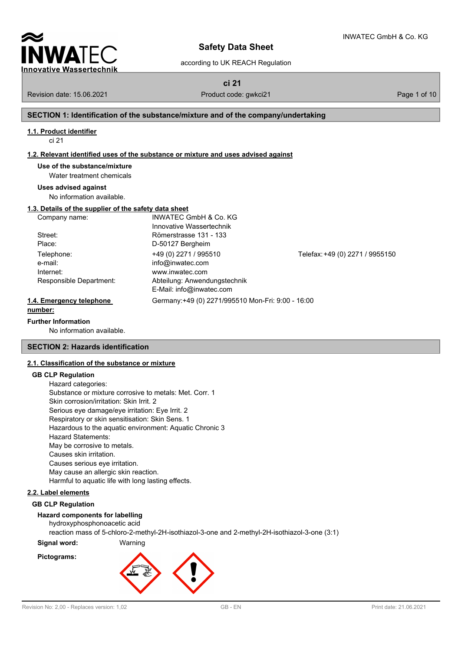

according to UK REACH Regulation

 $M$ 

**ci 21**

Revision date: 15.06.2021 Product code: gwkci21 Product code: exercise and Page 1 of 10

## **SECTION 1: Identification of the substance/mixture and of the company/undertaking**

### **1.1. Product identifier**

ci 21

### **1.2. Relevant identified uses of the substance or mixture and uses advised against**

**Use of the substance/mixture**

Water treatment chemicals

### **Uses advised against**

No information available.

### **1.3. Details of the supplier of the safety data sheet**

| Company name:            | <b>INWATEC GmbH &amp; Co. KG</b>                  |                                 |
|--------------------------|---------------------------------------------------|---------------------------------|
|                          | Innovative Wassertechnik                          |                                 |
| Street:                  | Römerstrasse 131 - 133                            |                                 |
| Place:                   | D-50127 Bergheim                                  |                                 |
| Telephone:               | +49 (0) 2271 / 995510                             | Telefax: +49 (0) 2271 / 9955150 |
| e-mail:                  | info@inwatec.com                                  |                                 |
| Internet:                | www.inwatec.com                                   |                                 |
| Responsible Department:  | Abteilung: Anwendungstechnik                      |                                 |
|                          | E-Mail: info@inwatec.com                          |                                 |
| 1.4. Emergency telephone | Germany:+49 (0) 2271/995510 Mon-Fri: 9:00 - 16:00 |                                 |
| number:                  |                                                   |                                 |

#### **Further Information**

No information available.

### **SECTION 2: Hazards identification**

### **2.1. Classification of the substance or mixture**

### **GB CLP Regulation**

| Hazard categories:                                      |
|---------------------------------------------------------|
| Substance or mixture corrosive to metals: Met. Corr. 1  |
| Skin corrosion/irritation: Skin Irrit. 2                |
| Serious eye damage/eye irritation: Eye Irrit. 2         |
| Respiratory or skin sensitisation: Skin Sens. 1         |
| Hazardous to the aquatic environment: Aquatic Chronic 3 |
| Hazard Statements:                                      |
| May be corrosive to metals.                             |
| Causes skin irritation.                                 |
| Causes serious eye irritation.                          |
| May cause an allergic skin reaction.                    |
| Harmful to aquatic life with long lasting effects.      |
|                                                         |

### **2.2. Label elements**

#### **GB CLP Regulation**

### **Hazard components for labelling**

hydroxyphosphonoacetic acid reaction mass of 5-chloro-2-methyl-2H-isothiazol-3-one and 2-methyl-2H-isothiazol-3-one (3:1)

## **Signal word:** Warning **Pictograms:**

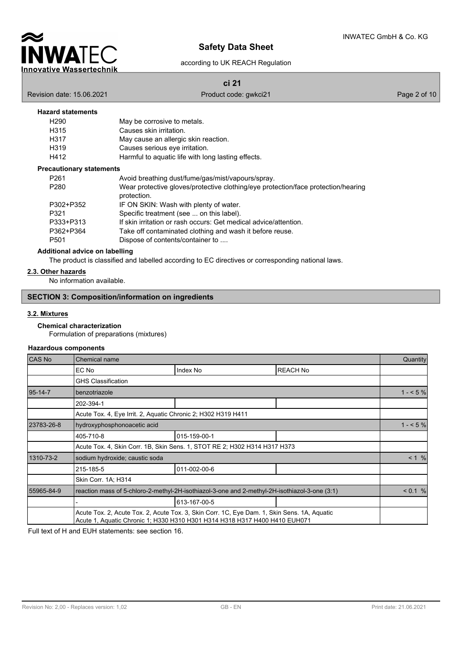

according to UK REACH Regulation

**ci 21**

Revision date: 15.06.2021 **Product code:** gwkci21 **Product code:** gwkci21 **Page 2 of 10** 

### **Hazard statements**

| H290 | May be corrosive to metals.                        |
|------|----------------------------------------------------|
| H315 | Causes skin irritation.                            |
| H317 | May cause an allergic skin reaction.               |
| H319 | Causes serious eye irritation.                     |
| H412 | Harmful to aquatic life with long lasting effects. |
|      |                                                    |

#### **Precautionary statements**

| P <sub>261</sub> | Avoid breathing dust/fume/gas/mist/vapours/spray.                                 |
|------------------|-----------------------------------------------------------------------------------|
| P280             | Wear protective gloves/protective clothing/eye protection/face protection/hearing |
|                  | protection.                                                                       |
| P302+P352        | IF ON SKIN: Wash with plenty of water.                                            |
| P321             | Specific treatment (see  on this label).                                          |
| P333+P313        | If skin irritation or rash occurs: Get medical advice/attention.                  |
| P362+P364        | Take off contaminated clothing and wash it before reuse.                          |
| P <sub>501</sub> | Dispose of contents/container to                                                  |

### **Additional advice on labelling**

The product is classified and labelled according to EC directives or corresponding national laws.

## **2.3. Other hazards**

No information available.

## **SECTION 3: Composition/information on ingredients**

### **3.2. Mixtures**

#### **Chemical characterization**

Formulation of preparations (mixtures)

### **Hazardous components**

| CAS No        | <b>Chemical name</b>                                                                                                                                                      |              |                 | Quantity  |  |
|---------------|---------------------------------------------------------------------------------------------------------------------------------------------------------------------------|--------------|-----------------|-----------|--|
|               | EC No                                                                                                                                                                     | Index No     | <b>REACH No</b> |           |  |
|               | <b>GHS Classification</b>                                                                                                                                                 |              |                 |           |  |
| $95 - 14 - 7$ | benzotriazole                                                                                                                                                             |              |                 | $1 - 5\%$ |  |
|               | 202-394-1                                                                                                                                                                 |              |                 |           |  |
|               | Acute Tox. 4, Eye Irrit. 2, Aquatic Chronic 2; H302 H319 H411                                                                                                             |              |                 |           |  |
| 23783-26-8    | hydroxyphosphonoacetic acid                                                                                                                                               |              |                 |           |  |
|               | 405-710-8                                                                                                                                                                 | 015-159-00-1 |                 |           |  |
|               | Acute Tox. 4, Skin Corr. 1B, Skin Sens. 1, STOT RE 2; H302 H314 H317 H373                                                                                                 |              |                 |           |  |
| 1310-73-2     | sodium hydroxide; caustic soda                                                                                                                                            |              |                 |           |  |
|               | 215-185-5                                                                                                                                                                 | 011-002-00-6 |                 |           |  |
|               | Skin Corr. 1A: H314                                                                                                                                                       |              |                 |           |  |
| 55965-84-9    | reaction mass of 5-chloro-2-methyl-2H-isothiazol-3-one and 2-methyl-2H-isothiazol-3-one (3:1)                                                                             |              |                 |           |  |
|               |                                                                                                                                                                           | 613-167-00-5 |                 |           |  |
|               | Acute Tox. 2, Acute Tox. 2, Acute Tox. 3, Skin Corr. 1C, Eye Dam. 1, Skin Sens. 1A, Aquatic<br>Acute 1, Aquatic Chronic 1; H330 H310 H301 H314 H318 H317 H400 H410 EUH071 |              |                 |           |  |

Full text of H and EUH statements: see section 16.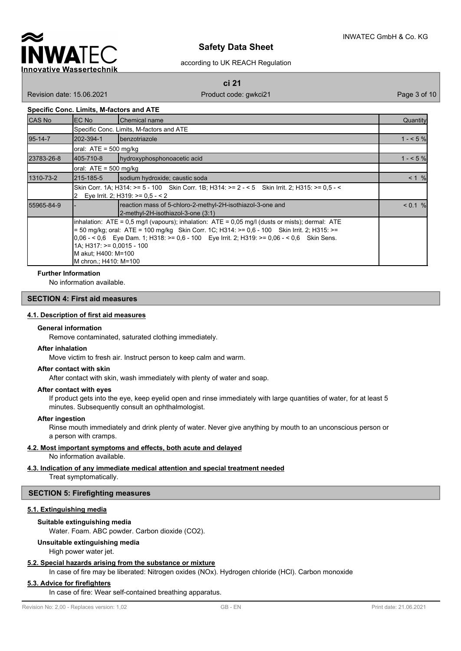

according to UK REACH Regulation

**ci 21**

Revision date: 15.06.2021 **Product code: gwkci21** Page 3 of 10

#### **Specific Conc. Limits, M-factors and ATE**

| <b>CAS No</b> | EC No                                                                          | <b>Chemical name</b>                                                                                                                                                                                                                                                                                      | Quantity |  |  |  |
|---------------|--------------------------------------------------------------------------------|-----------------------------------------------------------------------------------------------------------------------------------------------------------------------------------------------------------------------------------------------------------------------------------------------------------|----------|--|--|--|
|               |                                                                                | Specific Conc. Limits, M-factors and ATE                                                                                                                                                                                                                                                                  |          |  |  |  |
| $95 - 14 - 7$ | 202-394-1                                                                      | <b>I</b> benzotriazole                                                                                                                                                                                                                                                                                    | $1 - 5%$ |  |  |  |
|               |                                                                                | oral: $ATE = 500$ mg/kg                                                                                                                                                                                                                                                                                   |          |  |  |  |
| 23783-26-8    | l405-710-8                                                                     | hydroxyphosphonoacetic acid                                                                                                                                                                                                                                                                               | $1 - 5%$ |  |  |  |
|               | oral: $ATE = 500$ mg/kg                                                        |                                                                                                                                                                                                                                                                                                           |          |  |  |  |
| 1310-73-2     | 215-185-5                                                                      | sodium hydroxide; caustic soda                                                                                                                                                                                                                                                                            | < 1 %    |  |  |  |
|               |                                                                                | Skin Corr. 1A: H314: >= 5 - 100 Skin Corr. 1B: H314: >= 2 - < 5 Skin Irrit. 2: H315: >= 0.5 - <<br>2 Eye Irrit. 2; H319: $> = 0.5 - 2$                                                                                                                                                                    |          |  |  |  |
| 55965-84-9    |                                                                                | reaction mass of 5-chloro-2-methyl-2H-isothiazol-3-one and<br>2-methyl-2H-isothiazol-3-one (3:1)                                                                                                                                                                                                          | < 0.1 %  |  |  |  |
|               | $1A$ ; H317: $>= 0.0015 - 100$<br>M akut; H400: M=100<br>M chron.; H410: M=100 | $\lambda$ inhalation: ATE = 0.5 mg/l (vapours); inhalation: ATE = 0.05 mg/l (dusts or mists); dermal: ATE<br>$=$ 50 mg/kg; oral: ATE = 100 mg/kg Skin Corr. 1C; H314: >= 0,6 - 100 Skin Irrit. 2; H315: >=<br>$0.06 - 5.06$ Eye Dam. 1; H318: >= 0.6 - 100 Eye Irrit. 2; H319: >= 0.06 - < 0.6 Skin Sens. |          |  |  |  |

#### **Further Information**

No information available.

### **SECTION 4: First aid measures**

### **4.1. Description of first aid measures**

#### **General information**

Remove contaminated, saturated clothing immediately.

#### **After inhalation**

Move victim to fresh air. Instruct person to keep calm and warm.

#### **After contact with skin**

After contact with skin, wash immediately with plenty of water and soap.

#### **After contact with eyes**

If product gets into the eye, keep eyelid open and rinse immediately with large quantities of water, for at least 5 minutes. Subsequently consult an ophthalmologist.

#### **After ingestion**

Rinse mouth immediately and drink plenty of water. Never give anything by mouth to an unconscious person or a person with cramps.

### **4.2. Most important symptoms and effects, both acute and delayed**

No information available.

## **4.3. Indication of any immediate medical attention and special treatment needed**

Treat symptomatically.

## **SECTION 5: Firefighting measures**

## **5.1. Extinguishing media**

## **Suitable extinguishing media**

Water. Foam. ABC powder. Carbon dioxide (CO2).

## **Unsuitable extinguishing media**

### High power water jet.

## **5.2. Special hazards arising from the substance or mixture**

In case of fire may be liberated: Nitrogen oxides (NOx). Hydrogen chloride (HCl). Carbon monoxide

## **5.3. Advice for firefighters**

In case of fire: Wear self-contained breathing apparatus.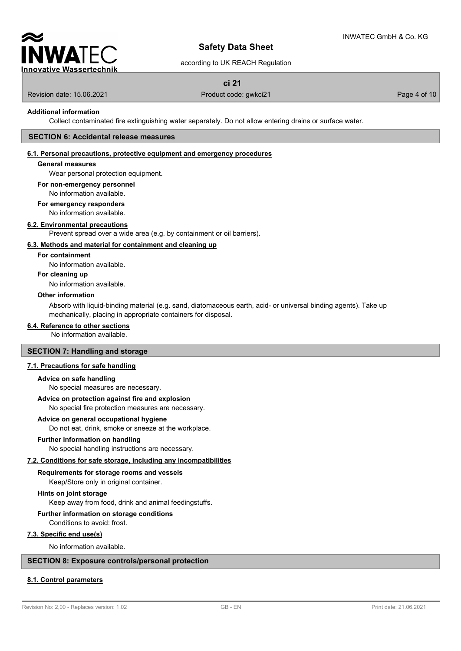

according to UK REACH Regulation

## **ci 21**

Revision date: 15.06.2021 **Product code: gwkci21** Page 4 of 10

### **Additional information**

Collect contaminated fire extinguishing water separately. Do not allow entering drains or surface water.

#### **SECTION 6: Accidental release measures**

### **6.1. Personal precautions, protective equipment and emergency procedures**

### **General measures**

Wear personal protection equipment.

#### **For non-emergency personnel**

No information available.

#### **For emergency responders**

No information available.

#### **6.2. Environmental precautions**

Prevent spread over a wide area (e.g. by containment or oil barriers).

#### **6.3. Methods and material for containment and cleaning up**

### **For containment**

No information available.

### **For cleaning up**

No information available.

#### **Other information**

Absorb with liquid-binding material (e.g. sand, diatomaceous earth, acid- or universal binding agents). Take up mechanically, placing in appropriate containers for disposal.

### **6.4. Reference to other sections**

No information available.

### **SECTION 7: Handling and storage**

#### **7.1. Precautions for safe handling**

#### **Advice on safe handling**

No special measures are necessary.

#### **Advice on protection against fire and explosion**

No special fire protection measures are necessary.

#### **Advice on general occupational hygiene**

Do not eat, drink, smoke or sneeze at the workplace.

#### **Further information on handling**

No special handling instructions are necessary.

### **7.2. Conditions for safe storage, including any incompatibilities**

**Requirements for storage rooms and vessels**

# Keep/Store only in original container.

**Hints on joint storage**

Keep away from food, drink and animal feedingstuffs.

## **Further information on storage conditions**

Conditions to avoid: frost.

## **7.3. Specific end use(s)**

No information available.

### **SECTION 8: Exposure controls/personal protection**

### **8.1. Control parameters**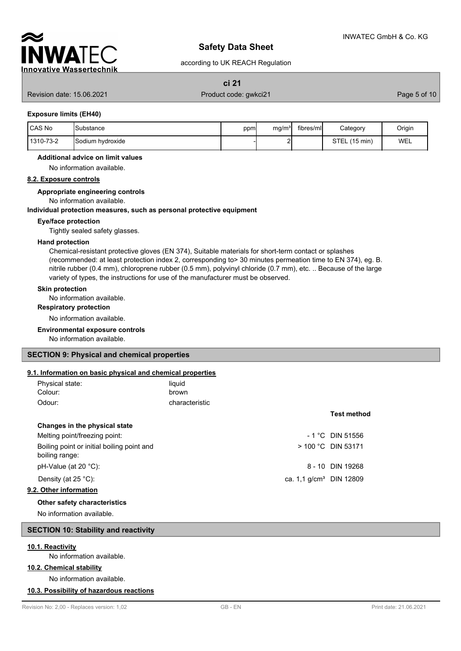

according to UK REACH Regulation

**ci 21**

Revision date: 15.06.2021 **Product code: gwkci21** Page 5 of 10

#### **Exposure limits (EH40)**

| <b>ICAS No</b> | <b>Substance</b>        | ppm | mg/m <sup>3</sup> | fibres/mll | Category                   | Origin |
|----------------|-------------------------|-----|-------------------|------------|----------------------------|--------|
| 1310-73-2      | <b>Sodium hydroxide</b> |     |                   |            | STEL<br>$(15 \text{ min})$ | WEL    |

#### **Additional advice on limit values**

No information available.

### **8.2. Exposure controls**

#### **Appropriate engineering controls**

No information available.

#### **Individual protection measures, such as personal protective equipment**

### **Eye/face protection**

Tightly sealed safety glasses.

#### **Hand protection**

Chemical-resistant protective gloves (EN 374), Suitable materials for short-term contact or splashes (recommended: at least protection index 2, corresponding to> 30 minutes permeation time to EN 374), eg. B. nitrile rubber (0.4 mm), chloroprene rubber (0.5 mm), polyvinyl chloride (0.7 mm), etc. .. Because of the large variety of types, the instructions for use of the manufacturer must be observed.

#### **Skin protection**

No information available.

#### **Respiratory protection**

No information available.

#### **Environmental exposure controls**

No information available.

### **SECTION 9: Physical and chemical properties**

### **9.1. Information on basic physical and chemical properties**

| Physical state: | liquid         |
|-----------------|----------------|
| Colour:         | brown          |
| Odour:          | characteristic |

## **Changes in the physical state**

Melting point/freezing point:  $-1 °C$  DIN 51556 Boiling point or initial boiling point and boiling range: pH-Value (at  $20 °C$ ): Density (at  $25 \text{ °C}$ ): ca. 1,1 g

#### **9.2. Other information**

### **Other safety characteristics**

No information available.

## **SECTION 10: Stability and reactivity**

#### **10.1. Reactivity**

No information available.

## **10.2. Chemical stability**

No information available.

### **10.3. Possibility of hazardous reactions**

### **Test method**

|                                     | > 100 °C DIN 53171 |
|-------------------------------------|--------------------|
|                                     | 8 - 10 DIN 19268   |
| ca. 1.1 g/cm <sup>3</sup> DIN 12809 |                    |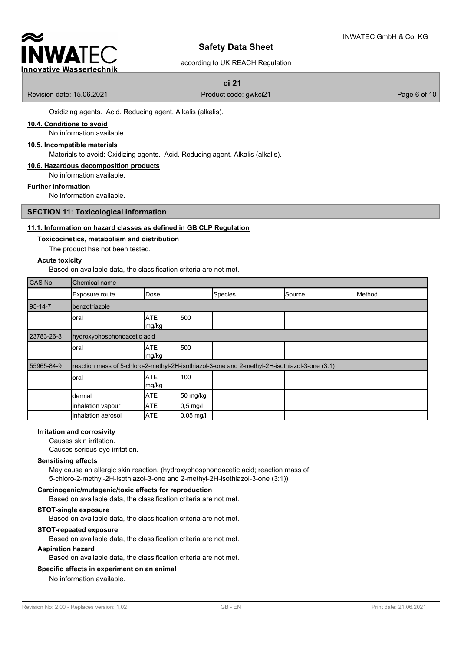

### according to UK REACH Regulation

## **ci 21**

Revision date: 15.06.2021 **Product code: gwkci21** Page 6 of 10

Oxidizing agents. Acid. Reducing agent. Alkalis (alkalis).

### **10.4. Conditions to avoid**

No information available.

### **10.5. Incompatible materials**

Materials to avoid: Oxidizing agents. Acid. Reducing agent. Alkalis (alkalis).

#### **10.6. Hazardous decomposition products**

No information available.

**Further information**

No information available.

### **SECTION 11: Toxicological information**

### **11.1. Information on hazard classes as defined in GB CLP Regulation**

#### **Toxicocinetics, metabolism and distribution**

The product has not been tested.

#### **Acute toxicity**

Based on available data, the classification criteria are not met.

| <b>CAS No</b> | Chemical name               |                      |                        |                                                                                               |        |        |
|---------------|-----------------------------|----------------------|------------------------|-----------------------------------------------------------------------------------------------|--------|--------|
|               | Exposure route              | Dose                 |                        | Species                                                                                       | Source | Method |
| 95-14-7       | benzotriazole               |                      |                        |                                                                                               |        |        |
|               | oral                        | <b>ATE</b><br>mg/kg  | 500                    |                                                                                               |        |        |
| 23783-26-8    | hydroxyphosphonoacetic acid |                      |                        |                                                                                               |        |        |
|               | oral                        | <b>ATE</b><br>Img/kg | 500                    |                                                                                               |        |        |
| 55965-84-9    |                             |                      |                        | reaction mass of 5-chloro-2-methyl-2H-isothiazol-3-one and 2-methyl-2H-isothiazol-3-one (3:1) |        |        |
|               | oral                        | <b>ATE</b><br>mg/kg  | 100                    |                                                                                               |        |        |
|               | dermal                      | <b>ATE</b>           | 50 mg/kg               |                                                                                               |        |        |
|               | inhalation vapour           | <b>ATE</b>           | $0,5$ mg/l             |                                                                                               |        |        |
|               | inhalation aerosol          | <b>ATE</b>           | $0,05 \,\mathrm{mg}/I$ |                                                                                               |        |        |

### **Irritation and corrosivity**

Causes skin irritation.

Causes serious eye irritation.

#### **Sensitising effects**

May cause an allergic skin reaction. (hydroxyphosphonoacetic acid; reaction mass of 5-chloro-2-methyl-2H-isothiazol-3-one and 2-methyl-2H-isothiazol-3-one (3:1))

### **Carcinogenic/mutagenic/toxic effects for reproduction**

Based on available data, the classification criteria are not met.

#### **STOT-single exposure**

Based on available data, the classification criteria are not met.

### **STOT-repeated exposure**

Based on available data, the classification criteria are not met.

#### **Aspiration hazard**

Based on available data, the classification criteria are not met.

#### **Specific effects in experiment on an animal**

No information available.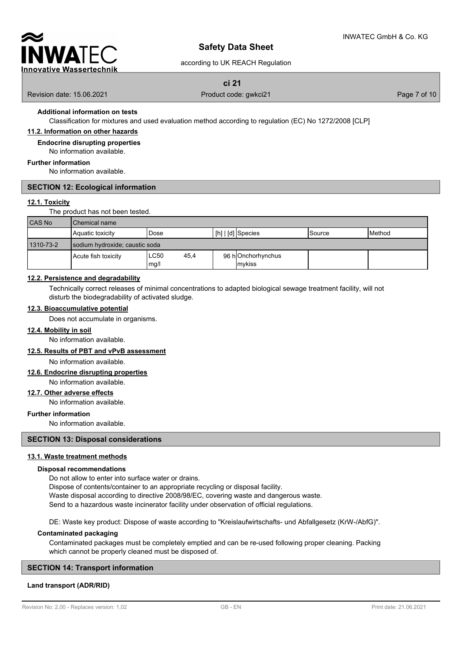

### according to UK REACH Regulation

## **ci 21**

Revision date: 15.06.2021 **Product code: gwkci21** Page 7 of 10

# **Additional information on tests**

Classification for mixtures and used evaluation method according to regulation (EC) No 1272/2008 [CLP]

## **11.2. Information on other hazards**

**Endocrine disrupting properties**

No information available.

### **Further information**

No information available.

### **SECTION 12: Ecological information**

### **12.1. Toxicity**

The product has not been tested.

| <b>CAS No</b> | I Chemical name                |                      |                                               |        |                 |  |
|---------------|--------------------------------|----------------------|-----------------------------------------------|--------|-----------------|--|
|               | <b>A</b> quatic toxicity       | Dose                 | $\lfloor$ [h] $\lfloor$ [d] $\rfloor$ Species | Source | <b>I</b> Method |  |
| 1310-73-2     | sodium hydroxide; caustic soda |                      |                                               |        |                 |  |
|               | Acute fish toxicity            | LC50<br>45,4<br>mg/l | 96 hOnchorhynchus<br><b>I</b> mvkiss          |        |                 |  |

### **12.2. Persistence and degradability**

Technically correct releases of minimal concentrations to adapted biological sewage treatment facility, will not disturb the biodegradability of activated sludge.

#### **12.3. Bioaccumulative potential**

Does not accumulate in organisms.

### **12.4. Mobility in soil**

No information available.

### **12.5. Results of PBT and vPvB assessment**

No information available.

## **12.6. Endocrine disrupting properties**

No information available.

### **12.7. Other adverse effects**

No information available.

#### **Further information**

No information available.

### **SECTION 13: Disposal considerations**

#### **13.1. Waste treatment methods**

#### **Disposal recommendations**

Do not allow to enter into surface water or drains.

Dispose of contents/container to an appropriate recycling or disposal facility.

Waste disposal according to directive 2008/98/EC, covering waste and dangerous waste.

Send to a hazardous waste incinerator facility under observation of official regulations.

DE: Waste key product: Dispose of waste according to "Kreislaufwirtschafts- und Abfallgesetz (KrW-/AbfG)".

#### **Contaminated packaging**

Contaminated packages must be completely emptied and can be re-used following proper cleaning. Packing which cannot be properly cleaned must be disposed of.

### **SECTION 14: Transport information**

#### **Land transport (ADR/RID)**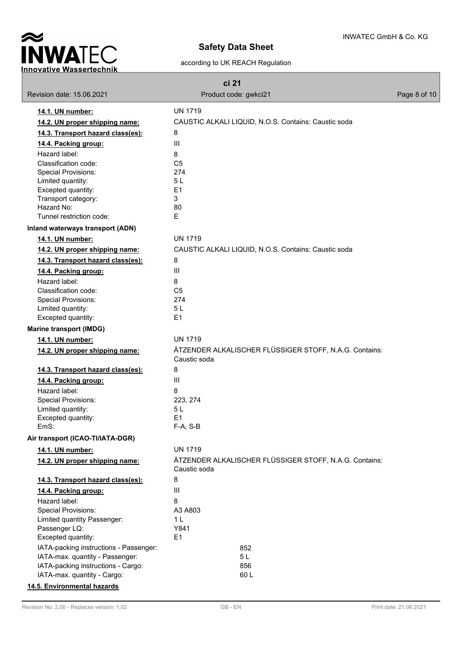

### according to UK REACH Regulation

| ci 21                                  |                                                                        |              |  |  |  |
|----------------------------------------|------------------------------------------------------------------------|--------------|--|--|--|
| Revision date: 15.06.2021              | Product code: gwkci21                                                  | Page 8 of 10 |  |  |  |
| 14.1. UN number:                       | <b>UN 1719</b>                                                         |              |  |  |  |
| 14.2. UN proper shipping name:         | CAUSTIC ALKALI LIQUID, N.O.S. Contains: Caustic soda                   |              |  |  |  |
| 14.3. Transport hazard class(es):      | 8                                                                      |              |  |  |  |
| 14.4. Packing group:                   | Ш                                                                      |              |  |  |  |
|                                        |                                                                        |              |  |  |  |
| Hazard label:<br>Classification code:  | 8<br>C <sub>5</sub>                                                    |              |  |  |  |
| <b>Special Provisions:</b>             | 274                                                                    |              |  |  |  |
| Limited quantity:                      | 5L                                                                     |              |  |  |  |
| Excepted quantity:                     | E1                                                                     |              |  |  |  |
| Transport category:                    | 3                                                                      |              |  |  |  |
| Hazard No:                             | 80                                                                     |              |  |  |  |
| Tunnel restriction code:               | E                                                                      |              |  |  |  |
| Inland waterways transport (ADN)       |                                                                        |              |  |  |  |
| 14.1. UN number:                       | <b>UN 1719</b>                                                         |              |  |  |  |
| 14.2. UN proper shipping name:         | CAUSTIC ALKALI LIQUID, N.O.S. Contains: Caustic soda                   |              |  |  |  |
| 14.3. Transport hazard class(es):      | 8                                                                      |              |  |  |  |
| 14.4. Packing group:                   | III                                                                    |              |  |  |  |
| Hazard label:                          | 8                                                                      |              |  |  |  |
| Classification code:                   | C <sub>5</sub>                                                         |              |  |  |  |
| <b>Special Provisions:</b>             | 274                                                                    |              |  |  |  |
| Limited quantity:                      | 5L                                                                     |              |  |  |  |
| Excepted quantity:                     | E1                                                                     |              |  |  |  |
| <b>Marine transport (IMDG)</b>         |                                                                        |              |  |  |  |
| 14.1. UN number:                       | <b>UN 1719</b>                                                         |              |  |  |  |
| 14.2. UN proper shipping name:         | ÄTZENDER ALKALISCHER FLÜSSIGER STOFF, N.A.G. Contains:<br>Caustic soda |              |  |  |  |
| 14.3. Transport hazard class(es):      | 8                                                                      |              |  |  |  |
| 14.4. Packing group:                   | III                                                                    |              |  |  |  |
| Hazard label:                          | 8                                                                      |              |  |  |  |
| <b>Special Provisions:</b>             | 223, 274                                                               |              |  |  |  |
| Limited quantity:                      | 5 L                                                                    |              |  |  |  |
| Excepted quantity:                     | E1                                                                     |              |  |  |  |
| EmS:                                   | F-A, S-B                                                               |              |  |  |  |
| Air transport (ICAO-TI/IATA-DGR)       |                                                                        |              |  |  |  |
| 14.1. UN number:                       | <b>UN 1719</b>                                                         |              |  |  |  |
| 14.2. UN proper shipping name:         | ÄTZENDER ALKALISCHER FLÜSSIGER STOFF, N.A.G. Contains:<br>Caustic soda |              |  |  |  |
| 14.3. Transport hazard class(es):      | 8                                                                      |              |  |  |  |
| 14.4. Packing group:                   | III                                                                    |              |  |  |  |
| Hazard label:                          | 8                                                                      |              |  |  |  |
| <b>Special Provisions:</b>             | A3 A803                                                                |              |  |  |  |
| Limited quantity Passenger:            | 1 <sub>L</sub>                                                         |              |  |  |  |
| Passenger LQ:                          | Y841                                                                   |              |  |  |  |
| Excepted quantity:                     | E <sub>1</sub>                                                         |              |  |  |  |
| IATA-packing instructions - Passenger: | 852                                                                    |              |  |  |  |
| IATA-max. quantity - Passenger:        | 5 <sub>L</sub>                                                         |              |  |  |  |
| IATA-packing instructions - Cargo:     | 856                                                                    |              |  |  |  |
| IATA-max. quantity - Cargo:            | 60L                                                                    |              |  |  |  |
| 14.5. Environmental hazards            |                                                                        |              |  |  |  |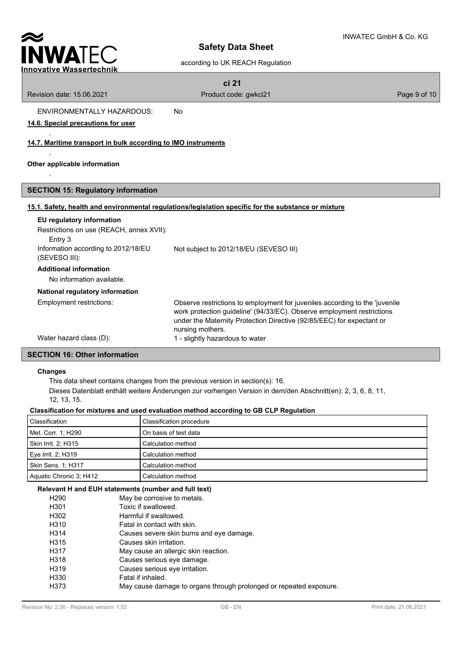

### according to UK REACH Regulation

| ۰. |  |
|----|--|
|----|--|

Revision date: 15.06.2021 **Product code: gwkci21** Product code: extending product code: extending product code:  $\frac{1}{2}$ 

.

.

ENVIRONMENTALLY HAZARDOUS: No

### **14.6. Special precautions for user**

### **14.7. Maritime transport in bulk according to IMO instruments**

### **Other applicable information**

### **SECTION 15: Regulatory information**

### **15.1. Safety, health and environmental regulations/legislation specific for the substance or mixture**

| EU regulatory information<br>Restrictions on use (REACH, annex XVII):<br>Entry 3 |                                                                                                                                                                                                                                                    |
|----------------------------------------------------------------------------------|----------------------------------------------------------------------------------------------------------------------------------------------------------------------------------------------------------------------------------------------------|
| Information according to 2012/18/EU<br>(SEVESO III):                             | Not subject to 2012/18/EU (SEVESO III)                                                                                                                                                                                                             |
| <b>Additional information</b><br>No information available.                       |                                                                                                                                                                                                                                                    |
| National regulatory information                                                  |                                                                                                                                                                                                                                                    |
| Employment restrictions:                                                         | Observe restrictions to employment for juveniles according to the 'juvenile<br>work protection guideline' (94/33/EC). Observe employment restrictions<br>under the Maternity Protection Directive (92/85/EEC) for expectant or<br>nursing mothers. |
| Water hazard class (D):                                                          | 1 - slightly hazardous to water                                                                                                                                                                                                                    |

## **SECTION 16: Other information**

#### **Changes**

This data sheet contains changes from the previous version in section(s): 16.

Dieses Datenblatt enthält weitere Änderungen zur vorherigen Version in dem/den Abschnitt(en): 2, 3, 6, 8, 11, 12, 13, 15.

#### **Classification for mixtures and used evaluation method according to GB CLP Regulation**

| Classification          | Classification procedure |
|-------------------------|--------------------------|
| Met. Corr. 1; H290      | l On basis of test data  |
| Skin Irrit. 2: H315     | Calculation method       |
| Eye Irrit. 2: H319      | Calculation method       |
| Skin Sens. 1: H317      | Calculation method       |
| Aquatic Chronic 3; H412 | Calculation method       |

### **Relevant H and EUH statements (number and full text)**

| H <sub>290</sub> | May be corrosive to metals.                                        |
|------------------|--------------------------------------------------------------------|
| H <sub>301</sub> | Toxic if swallowed.                                                |
| H302             | Harmful if swallowed.                                              |
| H310             | Fatal in contact with skin.                                        |
| H314             | Causes severe skin burns and eye damage.                           |
| H315             | Causes skin irritation.                                            |
| H317             | May cause an allergic skin reaction.                               |
| H318             | Causes serious eye damage.                                         |
| H319             | Causes serious eye irritation.                                     |
| H330             | Fatal if inhaled.                                                  |
| H373             | May cause damage to organs through prolonged or repeated exposure. |
|                  |                                                                    |